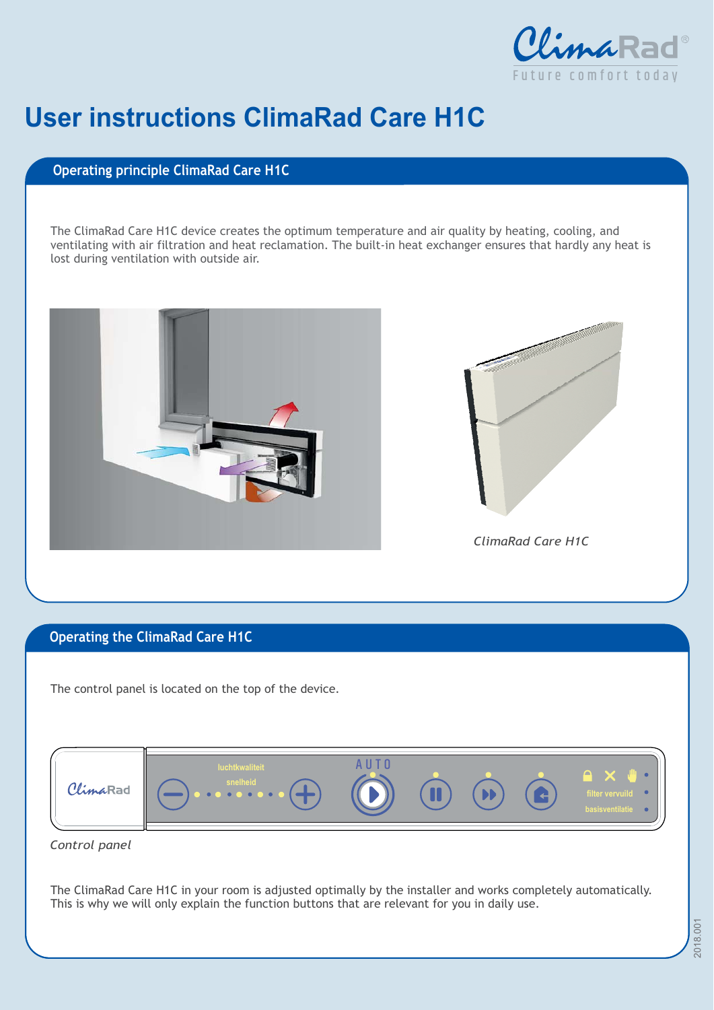

## **User instructions ClimaRad Care H1C**

## **Operating principle ClimaRad Care H1C**

The ClimaRad Care H1C device creates the optimum temperature and air quality by heating, cooling, and ventilating with air filtration and heat reclamation. The built-in heat exchanger ensures that hardly any heat is lost during ventilation with outside air.





## **Operating the ClimaRad Care H1C**

The control panel is located on the top of the device.



*Control panel*

The ClimaRad Care H1C in your room is adjusted optimally by the installer and works completely automatically. This is why we will only explain the function buttons that are relevant for you in daily use.